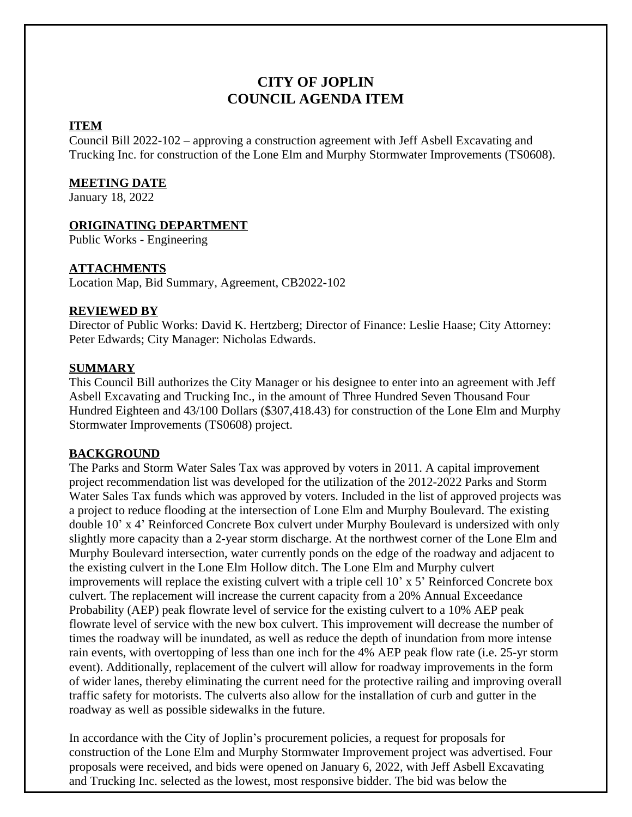# **CITY OF JOPLIN COUNCIL AGENDA ITEM**

# **ITEM**

Council Bill 2022-102 – approving a construction agreement with Jeff Asbell Excavating and Trucking Inc. for construction of the Lone Elm and Murphy Stormwater Improvements (TS0608).

# **MEETING DATE**

January 18, 2022

# **ORIGINATING DEPARTMENT**

Public Works - Engineering

# **ATTACHMENTS**

Location Map, Bid Summary, Agreement, CB2022-102

# **REVIEWED BY**

Director of Public Works: David K. Hertzberg; Director of Finance: Leslie Haase; City Attorney: Peter Edwards; City Manager: Nicholas Edwards.

# **SUMMARY**

This Council Bill authorizes the City Manager or his designee to enter into an agreement with Jeff Asbell Excavating and Trucking Inc., in the amount of Three Hundred Seven Thousand Four Hundred Eighteen and 43/100 Dollars (\$307,418.43) for construction of the Lone Elm and Murphy Stormwater Improvements (TS0608) project.

# **BACKGROUND**

The Parks and Storm Water Sales Tax was approved by voters in 2011. A capital improvement project recommendation list was developed for the utilization of the 2012-2022 Parks and Storm Water Sales Tax funds which was approved by voters. Included in the list of approved projects was a project to reduce flooding at the intersection of Lone Elm and Murphy Boulevard. The existing double 10' x 4' Reinforced Concrete Box culvert under Murphy Boulevard is undersized with only slightly more capacity than a 2-year storm discharge. At the northwest corner of the Lone Elm and Murphy Boulevard intersection, water currently ponds on the edge of the roadway and adjacent to the existing culvert in the Lone Elm Hollow ditch. The Lone Elm and Murphy culvert improvements will replace the existing culvert with a triple cell 10' x 5' Reinforced Concrete box culvert. The replacement will increase the current capacity from a 20% Annual Exceedance Probability (AEP) peak flowrate level of service for the existing culvert to a 10% AEP peak flowrate level of service with the new box culvert. This improvement will decrease the number of times the roadway will be inundated, as well as reduce the depth of inundation from more intense rain events, with overtopping of less than one inch for the 4% AEP peak flow rate (i.e. 25-yr storm event). Additionally, replacement of the culvert will allow for roadway improvements in the form of wider lanes, thereby eliminating the current need for the protective railing and improving overall traffic safety for motorists. The culverts also allow for the installation of curb and gutter in the roadway as well as possible sidewalks in the future.

In accordance with the City of Joplin's procurement policies, a request for proposals for construction of the Lone Elm and Murphy Stormwater Improvement project was advertised. Four proposals were received, and bids were opened on January 6, 2022, with Jeff Asbell Excavating and Trucking Inc. selected as the lowest, most responsive bidder. The bid was below the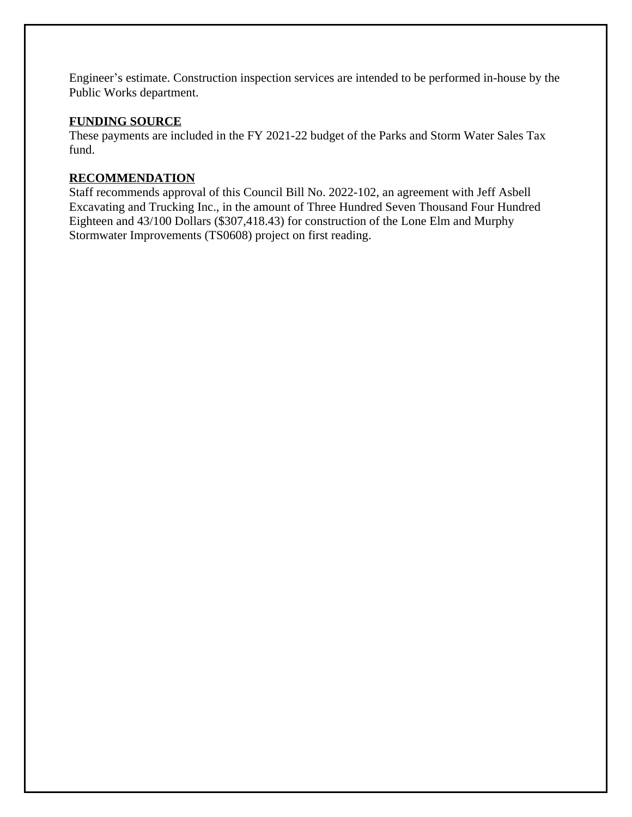Engineer's estimate. Construction inspection services are intended to be performed in-house by the Public Works department.

# **FUNDING SOURCE**

These payments are included in the FY 2021-22 budget of the Parks and Storm Water Sales Tax fund.

# **RECOMMENDATION**

Staff recommends approval of this Council Bill No. 2022-102, an agreement with Jeff Asbell Excavating and Trucking Inc., in the amount of Three Hundred Seven Thousand Four Hundred Eighteen and 43/100 Dollars (\$307,418.43) for construction of the Lone Elm and Murphy Stormwater Improvements (TS0608) project on first reading.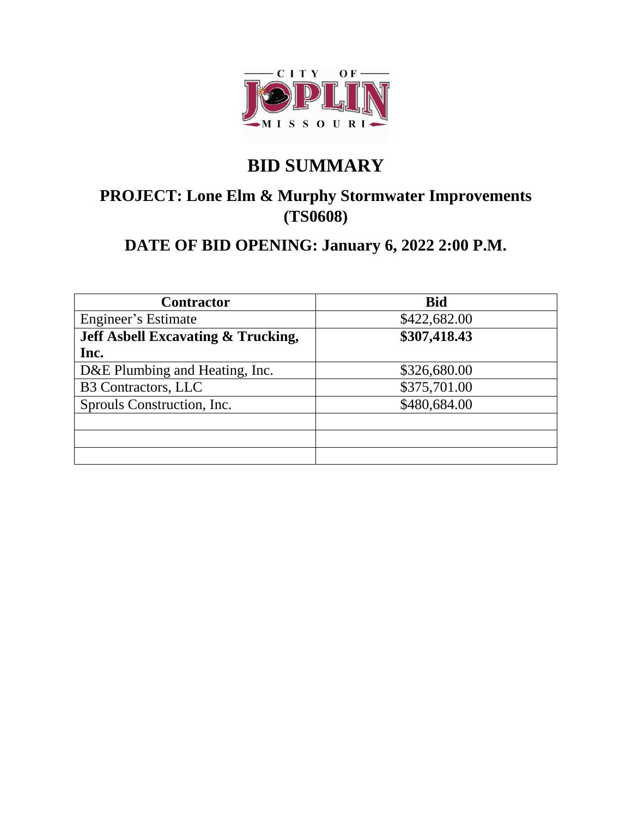

# **BID SUMMARY**

# **PROJECT: Lone Elm & Murphy Stormwater Improvements (TS0608)**

# **DATE OF BID OPENING: January 6, 2022 2:00 P.M.**

| <b>Contractor</b>                             | <b>Bid</b>   |
|-----------------------------------------------|--------------|
| Engineer's Estimate                           | \$422,682.00 |
| <b>Jeff Asbell Excavating &amp; Trucking,</b> | \$307,418.43 |
| Inc.                                          |              |
| D&E Plumbing and Heating, Inc.                | \$326,680.00 |
| <b>B3 Contractors, LLC</b>                    | \$375,701.00 |
| Sprouls Construction, Inc.                    | \$480,684.00 |
|                                               |              |
|                                               |              |
|                                               |              |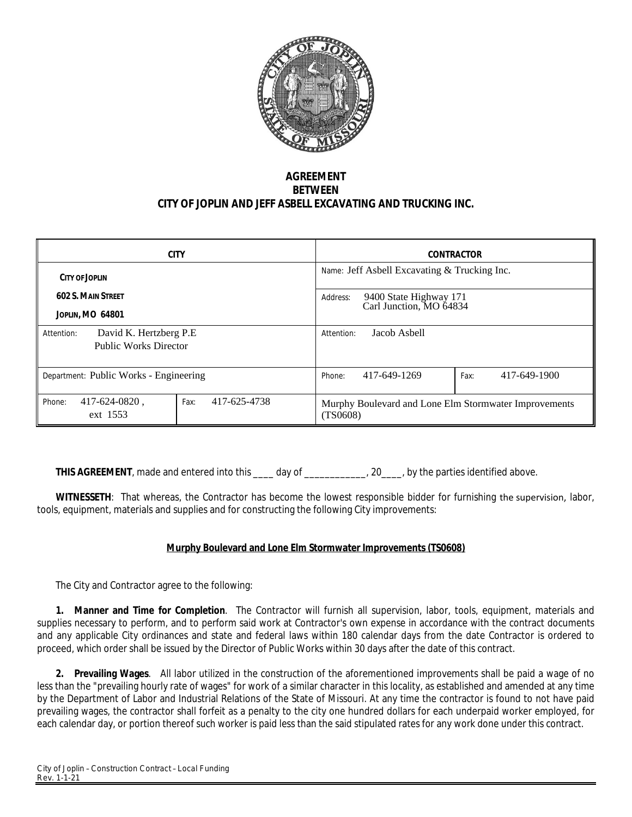

# **AGREEMENT BETWEEN CITY OF JOPLIN AND JEFF ASBELL EXCAVATING AND TRUCKING INC.**

| <b>CITY</b>                                                           | <b>CONTRACTOR</b>                                                 |
|-----------------------------------------------------------------------|-------------------------------------------------------------------|
| CITY OF JOPHN                                                         | Name: Jeff Asbell Excavating $&$ Trucking Inc.                    |
| <b>602 S. MAIN STREET</b><br><b>JOPLIN, MO 64801</b>                  | 9400 State Highway 171<br>Address:<br>Carl Junction, MO 64834     |
| David K. Hertzberg P.E.<br>Attention:<br><b>Public Works Director</b> | Jacob Asbell<br>Attention:                                        |
| Department: Public Works - Engineering                                | 417-649-1900<br>417-649-1269<br>Fax:<br>Phone:                    |
| 417-625-4738<br>417-624-0820,<br>Phone:<br>Fax:<br>ext 1553           | Murphy Boulevard and Lone Elm Stormwater Improvements<br>(TS0608) |

**THIS AGREEMENT**, made and entered into this \_\_\_\_ day of \_\_\_\_\_\_\_\_\_\_, 20\_\_\_\_, by the parties identified above.

**WITNESSETH**: That whereas, the Contractor has become the lowest responsible bidder for furnishing the supervision, labor, tools, equipment, materials and supplies and for constructing the following City improvements:

# **Murphy Boulevard and Lone Elm Stormwater Improvements (TS0608)**

The City and Contractor agree to the following:

**1. Manner and Time for Completion**. The Contractor will furnish all supervision, labor, tools, equipment, materials and supplies necessary to perform, and to perform said work at Contractor's own expense in accordance with the contract documents and any applicable City ordinances and state and federal laws within 180 calendar days from the date Contractor is ordered to proceed, which order shall be issued by the Director of Public Works within 30 days after the date of this contract.

**2. Prevailing Wages**. All labor utilized in the construction of the aforementioned improvements shall be paid a wage of no less than the "prevailing hourly rate of wages" for work of a similar character in this locality, as established and amended at any time by the Department of Labor and Industrial Relations of the State of Missouri. At any time the contractor is found to not have paid prevailing wages, the contractor shall forfeit as a penalty to the city one hundred dollars for each underpaid worker employed, for each calendar day, or portion thereof such worker is paid less than the said stipulated rates for any work done under this contract.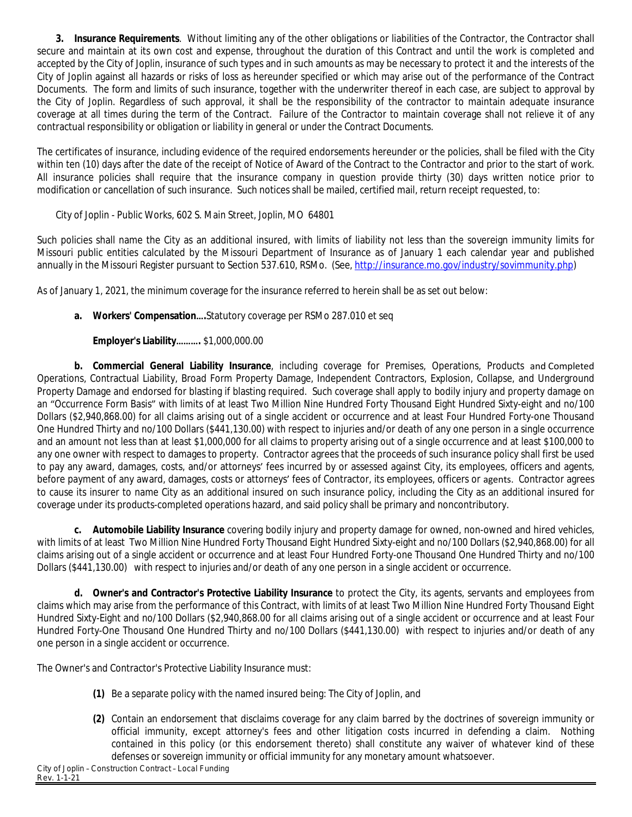**3. Insurance Requirements**. Without limiting any of the other obligations or liabilities of the Contractor, the Contractor shall secure and maintain at its own cost and expense, throughout the duration of this Contract and until the work is completed and accepted by the City of Joplin, insurance of such types and in such amounts as may be necessary to protect it and the interests of the City of Joplin against all hazards or risks of loss as hereunder specified or which may arise out of the performance of the Contract Documents. The form and limits of such insurance, together with the underwriter thereof in each case, are subject to approval by the City of Joplin. Regardless of such approval, it shall be the responsibility of the contractor to maintain adequate insurance coverage at all times during the term of the Contract. Failure of the Contractor to maintain coverage shall not relieve it of any contractual responsibility or obligation or liability in general or under the Contract Documents.

The certificates of insurance, including evidence of the required endorsements hereunder or the policies, shall be filed with the City within ten (10) days after the date of the receipt of Notice of Award of the Contract to the Contractor and prior to the start of work. All insurance policies shall require that the insurance company in question provide thirty (30) days written notice prior to modification or cancellation of such insurance. Such notices shall be mailed, certified mail, return receipt requested, to:

City of Joplin - Public Works, 602 S. Main Street, Joplin, MO 64801

Such policies shall name the City as an additional insured, with limits of liability not less than the sovereign immunity limits for Missouri public entities calculated by the Missouri Department of Insurance as of January 1 each calendar year and published annually in the Missouri Register pursuant to Section 537.610, RSMo. (See, [http://insurance.mo.gov/industry/sovimmunity.php\)](http://insurance.mo.gov/industry/sovimmunity.php)

As of January 1, 2021, the minimum coverage for the insurance referred to herein shall be as set out below:

**a. Workers' Compensation….**Statutory coverage per RSMo 287.010 et seq

# **Employer's Liability……….** \$1,000,000.00

**b. Commercial General Liability Insurance**, including coverage for Premises, Operations, Products and Completed Operations, Contractual Liability, Broad Form Property Damage, Independent Contractors, Explosion, Collapse, and Underground Property Damage and endorsed for blasting if blasting required. Such coverage shall apply to bodily injury and property damage on an "Occurrence Form Basis" with limits of at least Two Million Nine Hundred Forty Thousand Eight Hundred Sixty-eight and no/100 Dollars (\$2,940,868.00) for all claims arising out of a single accident or occurrence and at least Four Hundred Forty-one Thousand One Hundred Thirty and no/100 Dollars (\$441,130.00) with respect to injuries and/or death of any one person in a single occurrence and an amount not less than at least \$1,000,000 for all claims to property arising out of a single occurrence and at least \$100,000 to any one owner with respect to damages to property. Contractor agrees that the proceeds of such insurance policy shall first be used to pay any award, damages, costs, and/or attorneys' fees incurred by or assessed against City, its employees, officers and agents, before payment of any award, damages, costs or attorneys' fees of Contractor, its employees, officers or agents. Contractor agrees to cause its insurer to name City as an additional insured on such insurance policy, including the City as an additional insured for coverage under its products-completed operations hazard, and said policy shall be primary and noncontributory.

**c. Automobile Liability Insurance** covering bodily injury and property damage for owned, non-owned and hired vehicles, with limits of at least Two Million Nine Hundred Forty Thousand Eight Hundred Sixty-eight and no/100 Dollars (\$2,940,868.00) for all claims arising out of a single accident or occurrence and at least Four Hundred Forty-one Thousand One Hundred Thirty and no/100 Dollars (\$441,130.00) with respect to injuries and/or death of any one person in a single accident or occurrence.

**d. Owner's and Contractor's Protective Liability Insurance** to protect the City, its agents, servants and employees from claims which may arise from the performance of this Contract, with limits of at least Two Million Nine Hundred Forty Thousand Eight Hundred Sixty-Eight and no/100 Dollars (\$2,940,868.00 for all claims arising out of a single accident or occurrence and at least Four Hundred Forty-One Thousand One Hundred Thirty and no/100 Dollars (\$441,130.00) with respect to injuries and/or death of any one person in a single accident or occurrence.

The Owner's and Contractor's Protective Liability Insurance must:

- **(1)** Be a separate policy with the named insured being: The City of Joplin, and
- **(2)** Contain an endorsement that disclaims coverage for any claim barred by the doctrines of sovereign immunity or official immunity, except attorney's fees and other litigation costs incurred in defending a claim. Nothing contained in this policy (or this endorsement thereto) shall constitute any waiver of whatever kind of these defenses or sovereign immunity or official immunity for any monetary amount whatsoever.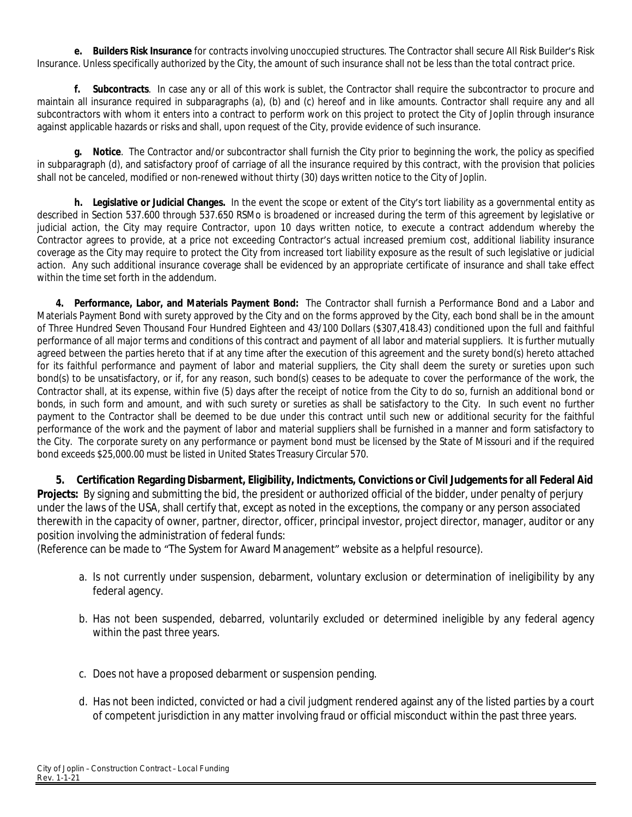**e. Builders Risk Insurance** for contracts involving unoccupied structures. The Contractor shall secure All Risk Builder's Risk Insurance. Unless specifically authorized by the City, the amount of such insurance shall not be less than the total contract price.

**f. Subcontracts**. In case any or all of this work is sublet, the Contractor shall require the subcontractor to procure and maintain all insurance required in subparagraphs (a), (b) and (c) hereof and in like amounts. Contractor shall require any and all subcontractors with whom it enters into a contract to perform work on this project to protect the City of Joplin through insurance against applicable hazards or risks and shall, upon request of the City, provide evidence of such insurance.

**g. Notice**. The Contractor and/or subcontractor shall furnish the City prior to beginning the work, the policy as specified in subparagraph (d), and satisfactory proof of carriage of all the insurance required by this contract, with the provision that policies shall not be canceled, modified or non-renewed without thirty (30) days written notice to the City of Joplin.

**h. Legislative or Judicial Changes.** In the event the scope or extent of the City's tort liability as a governmental entity as described in Section 537.600 through 537.650 RSMo is broadened or increased during the term of this agreement by legislative or judicial action, the City may require Contractor, upon 10 days written notice, to execute a contract addendum whereby the Contractor agrees to provide, at a price not exceeding Contractor's actual increased premium cost, additional liability insurance coverage as the City may require to protect the City from increased tort liability exposure as the result of such legislative or judicial action. Any such additional insurance coverage shall be evidenced by an appropriate certificate of insurance and shall take effect within the time set forth in the addendum.

**4. Performance, Labor, and Materials Payment Bond:** The Contractor shall furnish a Performance Bond and a Labor and Materials Payment Bond with surety approved by the City and on the forms approved by the City, each bond shall be in the amount of Three Hundred Seven Thousand Four Hundred Eighteen and 43/100 Dollars (\$307,418.43) conditioned upon the full and faithful performance of all major terms and conditions of this contract and payment of all labor and material suppliers. It is further mutually agreed between the parties hereto that if at any time after the execution of this agreement and the surety bond(s) hereto attached for its faithful performance and payment of labor and material suppliers, the City shall deem the surety or sureties upon such bond(s) to be unsatisfactory, or if, for any reason, such bond(s) ceases to be adequate to cover the performance of the work, the Contractor shall, at its expense, within five (5) days after the receipt of notice from the City to do so, furnish an additional bond or bonds, in such form and amount, and with such surety or sureties as shall be satisfactory to the City. In such event no further payment to the Contractor shall be deemed to be due under this contract until such new or additional security for the faithful performance of the work and the payment of labor and material suppliers shall be furnished in a manner and form satisfactory to the City. The corporate surety on any performance or payment bond must be licensed by the State of Missouri and if the required bond exceeds \$25,000.00 must be listed in United States Treasury Circular 570.

**5. Certification Regarding Disbarment, Eligibility, Indictments, Convictions or Civil Judgements for all Federal Aid Projects:** By signing and submitting the bid, the president or authorized official of the bidder, under penalty of perjury under the laws of the USA, shall certify that, except as noted in the exceptions, the company or any person associated therewith in the capacity of owner, partner, director, officer, principal investor, project director, manager, auditor or any position involving the administration of federal funds:

(Reference can be made to "The System for Award Management" website as a helpful resource).

- a. Is not currently under suspension, debarment, voluntary exclusion or determination of ineligibility by any federal agency.
- b. Has not been suspended, debarred, voluntarily excluded or determined ineligible by any federal agency within the past three years.
- c. Does not have a proposed debarment or suspension pending.
- d. Has not been indicted, convicted or had a civil judgment rendered against any of the listed parties by a court of competent jurisdiction in any matter involving fraud or official misconduct within the past three years.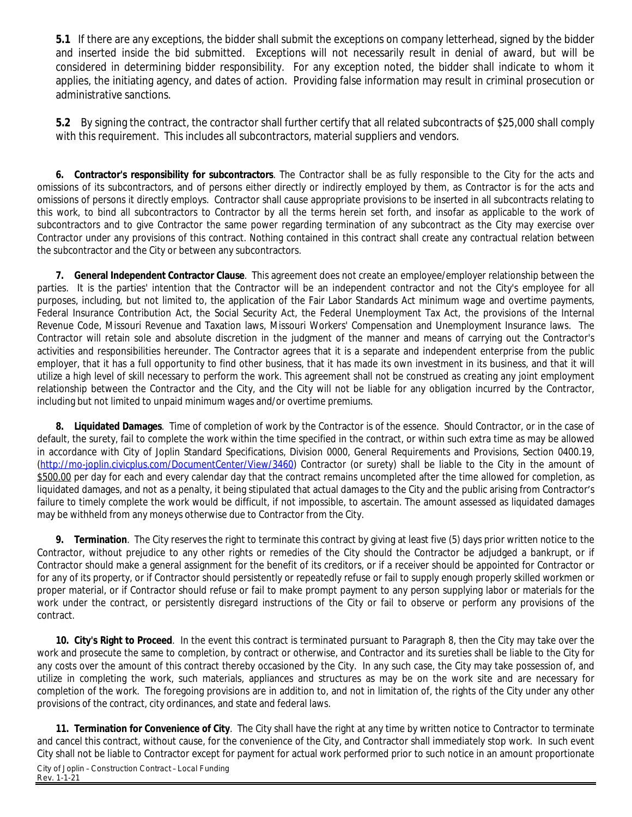**5.1** If there are any exceptions, the bidder shall submit the exceptions on company letterhead, signed by the bidder and inserted inside the bid submitted. Exceptions will not necessarily result in denial of award, but will be considered in determining bidder responsibility. For any exception noted, the bidder shall indicate to whom it applies, the initiating agency, and dates of action. Providing false information may result in criminal prosecution or administrative sanctions.

**5.2** By signing the contract, the contractor shall further certify that all related subcontracts of \$25,000 shall comply with this requirement. This includes all subcontractors, material suppliers and vendors.

**6. Contractor's responsibility for subcontractors**. The Contractor shall be as fully responsible to the City for the acts and omissions of its subcontractors, and of persons either directly or indirectly employed by them, as Contractor is for the acts and omissions of persons it directly employs. Contractor shall cause appropriate provisions to be inserted in all subcontracts relating to this work, to bind all subcontractors to Contractor by all the terms herein set forth, and insofar as applicable to the work of subcontractors and to give Contractor the same power regarding termination of any subcontract as the City may exercise over Contractor under any provisions of this contract. Nothing contained in this contract shall create any contractual relation between the subcontractor and the City or between any subcontractors.

**7. General Independent Contractor Clause**. This agreement does not create an employee/employer relationship between the parties. It is the parties' intention that the Contractor will be an independent contractor and not the City's employee for all purposes, including, but not limited to, the application of the Fair Labor Standards Act minimum wage and overtime payments, Federal Insurance Contribution Act, the Social Security Act, the Federal Unemployment Tax Act, the provisions of the Internal Revenue Code, Missouri Revenue and Taxation laws, Missouri Workers' Compensation and Unemployment Insurance laws. The Contractor will retain sole and absolute discretion in the judgment of the manner and means of carrying out the Contractor's activities and responsibilities hereunder. The Contractor agrees that it is a separate and independent enterprise from the public employer, that it has a full opportunity to find other business, that it has made its own investment in its business, and that it will utilize a high level of skill necessary to perform the work. This agreement shall not be construed as creating any joint employment relationship between the Contractor and the City, and the City will not be liable for any obligation incurred by the Contractor, including but not limited to unpaid minimum wages and/or overtime premiums.

**8. Liquidated Damages**. Time of completion of work by the Contractor is of the essence. Should Contractor, or in the case of default, the surety, fail to complete the work within the time specified in the contract, or within such extra time as may be allowed in accordance with City of Joplin Standard Specifications, Division 0000, General Requirements and Provisions, Section 0400.19, [\(http://mo-joplin.civicplus.com/DocumentCenter/View/3460](http://mo-joplin.civicplus.com/DocumentCenter/View/3460)) Contractor (or surety) shall be liable to the City in the amount of \$500.00 per day for each and every calendar day that the contract remains uncompleted after the time allowed for completion, as liquidated damages, and not as a penalty, it being stipulated that actual damages to the City and the public arising from Contractor's failure to timely complete the work would be difficult, if not impossible, to ascertain. The amount assessed as liquidated damages may be withheld from any moneys otherwise due to Contractor from the City.

**9. Termination**. The City reserves the right to terminate this contract by giving at least five (5) days prior written notice to the Contractor, without prejudice to any other rights or remedies of the City should the Contractor be adjudged a bankrupt, or if Contractor should make a general assignment for the benefit of its creditors, or if a receiver should be appointed for Contractor or for any of its property, or if Contractor should persistently or repeatedly refuse or fail to supply enough properly skilled workmen or proper material, or if Contractor should refuse or fail to make prompt payment to any person supplying labor or materials for the work under the contract, or persistently disregard instructions of the City or fail to observe or perform any provisions of the contract.

**10. City's Right to Proceed**. In the event this contract is terminated pursuant to Paragraph 8, then the City may take over the work and prosecute the same to completion, by contract or otherwise, and Contractor and its sureties shall be liable to the City for any costs over the amount of this contract thereby occasioned by the City. In any such case, the City may take possession of, and utilize in completing the work, such materials, appliances and structures as may be on the work site and are necessary for completion of the work. The foregoing provisions are in addition to, and not in limitation of, the rights of the City under any other provisions of the contract, city ordinances, and state and federal laws.

City of Joplin – Construction Contract – Local Funding Rev. 1-1-21 **11. Termination for Convenience of City**. The City shall have the right at any time by written notice to Contractor to terminate and cancel this contract, without cause, for the convenience of the City, and Contractor shall immediately stop work. In such event City shall not be liable to Contractor except for payment for actual work performed prior to such notice in an amount proportionate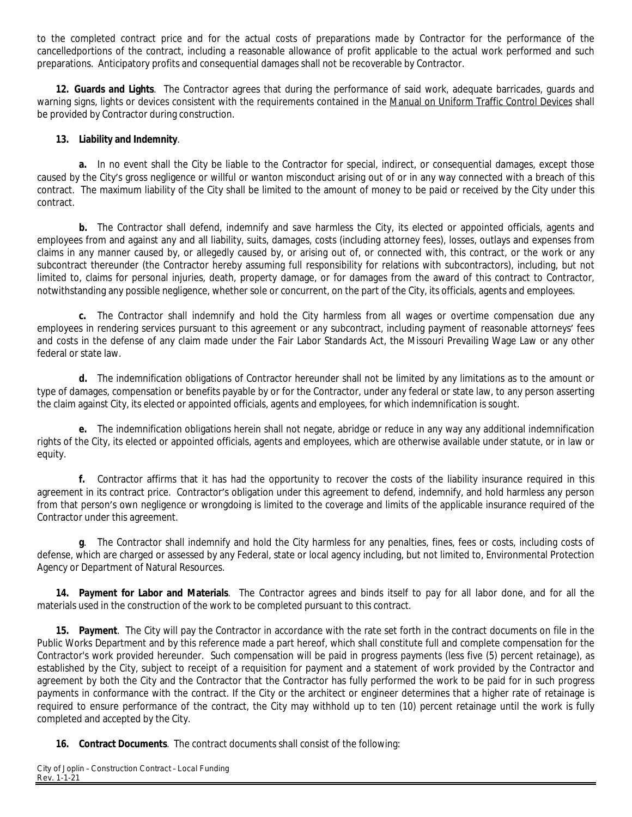to the completed contract price and for the actual costs of preparations made by Contractor for the performance of the cancelledportions of the contract, including a reasonable allowance of profit applicable to the actual work performed and such preparations. Anticipatory profits and consequential damages shall not be recoverable by Contractor.

**12. Guards and Lights**. The Contractor agrees that during the performance of said work, adequate barricades, guards and warning signs, lights or devices consistent with the requirements contained in the Manual on Uniform Traffic Control Devices shall be provided by Contractor during construction.

#### **13. Liability and Indemnity**.

**a.** In no event shall the City be liable to the Contractor for special, indirect, or consequential damages, except those caused by the City's gross negligence or willful or wanton misconduct arising out of or in any way connected with a breach of this contract. The maximum liability of the City shall be limited to the amount of money to be paid or received by the City under this contract.

**b.** The Contractor shall defend, indemnify and save harmless the City, its elected or appointed officials, agents and employees from and against any and all liability, suits, damages, costs (including attorney fees), losses, outlays and expenses from claims in any manner caused by, or allegedly caused by, or arising out of, or connected with, this contract, or the work or any subcontract thereunder (the Contractor hereby assuming full responsibility for relations with subcontractors), including, but not limited to, claims for personal injuries, death, property damage, or for damages from the award of this contract to Contractor, notwithstanding any possible negligence, whether sole or concurrent, on the part of the City, its officials, agents and employees.

**c.** The Contractor shall indemnify and hold the City harmless from all wages or overtime compensation due any employees in rendering services pursuant to this agreement or any subcontract, including payment of reasonable attorneys' fees and costs in the defense of any claim made under the Fair Labor Standards Act, the Missouri Prevailing Wage Law or any other federal or state law.

**d.** The indemnification obligations of Contractor hereunder shall not be limited by any limitations as to the amount or type of damages, compensation or benefits payable by or for the Contractor, under any federal or state law, to any person asserting the claim against City, its elected or appointed officials, agents and employees, for which indemnification is sought.

**e.** The indemnification obligations herein shall not negate, abridge or reduce in any way any additional indemnification rights of the City, its elected or appointed officials, agents and employees, which are otherwise available under statute, or in law or equity.

**f.** Contractor affirms that it has had the opportunity to recover the costs of the liability insurance required in this agreement in its contract price. Contractor's obligation under this agreement to defend, indemnify, and hold harmless any person from that person's own negligence or wrongdoing is limited to the coverage and limits of the applicable insurance required of the Contractor under this agreement.

**g**. The Contractor shall indemnify and hold the City harmless for any penalties, fines, fees or costs, including costs of defense, which are charged or assessed by any Federal, state or local agency including, but not limited to, Environmental Protection Agency or Department of Natural Resources.

**14. Payment for Labor and Materials**. The Contractor agrees and binds itself to pay for all labor done, and for all the materials used in the construction of the work to be completed pursuant to this contract.

**15. Payment**. The City will pay the Contractor in accordance with the rate set forth in the contract documents on file in the Public Works Department and by this reference made a part hereof, which shall constitute full and complete compensation for the Contractor's work provided hereunder. Such compensation will be paid in progress payments (less five (5) percent retainage), as established by the City, subject to receipt of a requisition for payment and a statement of work provided by the Contractor and agreement by both the City and the Contractor that the Contractor has fully performed the work to be paid for in such progress payments in conformance with the contract. If the City or the architect or engineer determines that a higher rate of retainage is required to ensure performance of the contract, the City may withhold up to ten (10) percent retainage until the work is fully completed and accepted by the City.

**16. Contract Documents**. The contract documents shall consist of the following: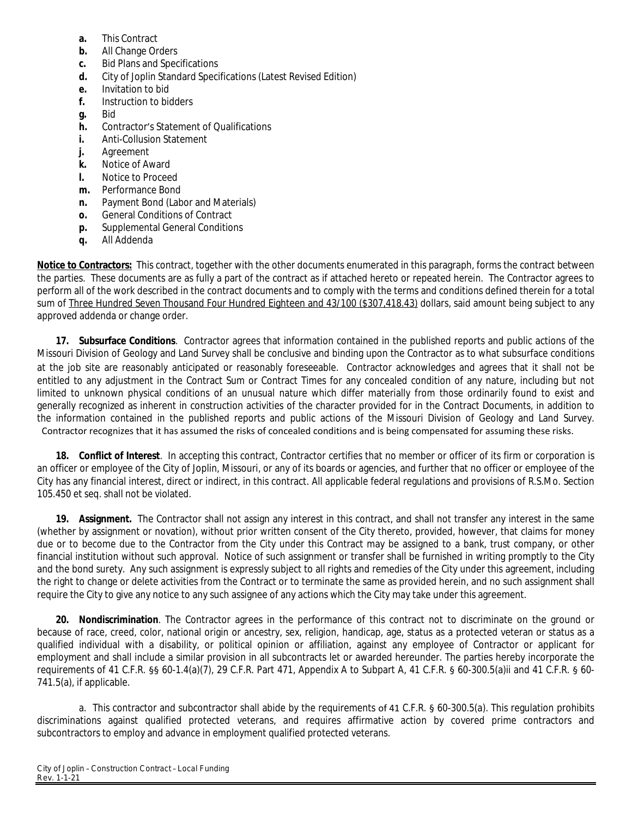- **a.** This Contract
- **b.** All Change Orders
- **c.** Bid Plans and Specifications
- **d.** City of Joplin Standard Specifications (Latest Revised Edition)
- **e.** Invitation to bid
- **f.** Instruction to bidders
- **g.** Bid
- **h.** Contractor's Statement of Qualifications
- **i.** Anti-Collusion Statement
- **j.** Agreement
- **k.** Notice of Award
- **l.** Notice to Proceed
- **m.** Performance Bond
- **n.** Payment Bond (Labor and Materials)
- **o.** General Conditions of Contract
- **p.** Supplemental General Conditions
- **q.** All Addenda

**Notice to Contractors:** This contract, together with the other documents enumerated in this paragraph, forms the contract between the parties. These documents are as fully a part of the contract as if attached hereto or repeated herein. The Contractor agrees to perform all of the work described in the contract documents and to comply with the terms and conditions defined therein for a total sum of Three Hundred Seven Thousand Four Hundred Eighteen and 43/100 (\$307,418.43) dollars, said amount being subject to any approved addenda or change order.

**17. Subsurface Conditions**. Contractor agrees that information contained in the published reports and public actions of the Missouri Division of Geology and Land Survey shall be conclusive and binding upon the Contractor as to what subsurface conditions at the job site are reasonably anticipated or reasonably foreseeable. Contractor acknowledges and agrees that it shall not be entitled to any adjustment in the Contract Sum or Contract Times for any concealed condition of any nature, including but not limited to unknown physical conditions of an unusual nature which differ materially from those ordinarily found to exist and generally recognized as inherent in construction activities of the character provided for in the Contract Documents, in addition to the information contained in the published reports and public actions of the Missouri Division of Geology and Land Survey. Contractor recognizes that it has assumed the risks of concealed conditions and is being compensated for assuming these risks.

**18. Conflict of Interest**. In accepting this contract, Contractor certifies that no member or officer of its firm or corporation is an officer or employee of the City of Joplin, Missouri, or any of its boards or agencies, and further that no officer or employee of the City has any financial interest, direct or indirect, in this contract. All applicable federal regulations and provisions of R.S.Mo. Section 105.450 et seq. shall not be violated.

**19. Assignment.** The Contractor shall not assign any interest in this contract, and shall not transfer any interest in the same (whether by assignment or novation), without prior written consent of the City thereto, provided, however, that claims for money due or to become due to the Contractor from the City under this Contract may be assigned to a bank, trust company, or other financial institution without such approval. Notice of such assignment or transfer shall be furnished in writing promptly to the City and the bond surety. Any such assignment is expressly subject to all rights and remedies of the City under this agreement, including the right to change or delete activities from the Contract or to terminate the same as provided herein, and no such assignment shall require the City to give any notice to any such assignee of any actions which the City may take under this agreement.

**20. Nondiscrimination**. The Contractor agrees in the performance of this contract not to discriminate on the ground or because of race, creed, color, national origin or ancestry, sex, religion, handicap, age, status as a protected veteran or status as a qualified individual with a disability, or political opinion or affiliation, against any employee of Contractor or applicant for employment and shall include a similar provision in all subcontracts let or awarded hereunder. The parties hereby incorporate the requirements of 41 C.F.R. §§ 60-1.4(a)(7), 29 C.F.R. Part 471, Appendix A to Subpart A, 41 C.F.R. § 60-300.5(a)ii and 41 C.F.R. § 60- 741.5(a), if applicable.

a. This contractor and subcontractor shall abide by the requirements of 41 C.F.R. § 60-300.5(a). This regulation prohibits discriminations against qualified protected veterans, and requires affirmative action by covered prime contractors and subcontractors to employ and advance in employment qualified protected veterans.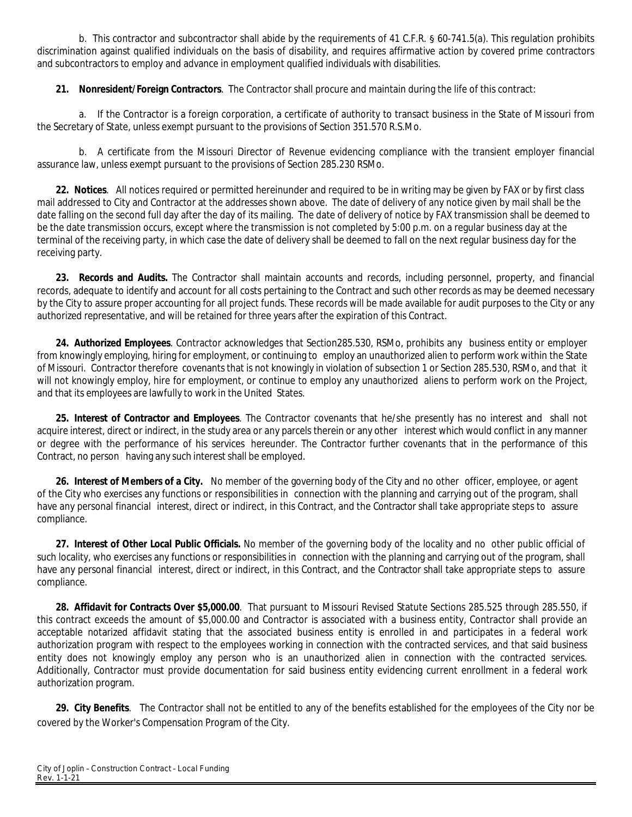b. This contractor and subcontractor shall abide by the requirements of 41 C.F.R. § 60-741.5(a). This regulation prohibits discrimination against qualified individuals on the basis of disability, and requires affirmative action by covered prime contractors and subcontractors to employ and advance in employment qualified individuals with disabilities.

**21. Nonresident/Foreign Contractors**. The Contractor shall procure and maintain during the life of this contract:

a. If the Contractor is a foreign corporation, a certificate of authority to transact business in the State of Missouri from the Secretary of State, unless exempt pursuant to the provisions of Section 351.570 R.S.Mo.

b. A certificate from the Missouri Director of Revenue evidencing compliance with the transient employer financial assurance law, unless exempt pursuant to the provisions of Section 285.230 RSMo.

**22. Notices**. All notices required or permitted hereinunder and required to be in writing may be given by FAX or by first class mail addressed to City and Contractor at the addresses shown above. The date of delivery of any notice given by mail shall be the date falling on the second full day after the day of its mailing. The date of delivery of notice by FAX transmission shall be deemed to be the date transmission occurs, except where the transmission is not completed by 5:00 p.m. on a regular business day at the terminal of the receiving party, in which case the date of delivery shall be deemed to fall on the next regular business day for the receiving party.

**23. Records and Audits.** The Contractor shall maintain accounts and records, including personnel, property, and financial records, adequate to identify and account for all costs pertaining to the Contract and such other records as may be deemed necessary by the City to assure proper accounting for all project funds. These records will be made available for audit purposes to the City or any authorized representative, and will be retained for three years after the expiration of this Contract.

**24. Authorized Employees**. Contractor acknowledges that Section285.530, RSMo, prohibits any business entity or employer from knowingly employing, hiring for employment, or continuing to employ an unauthorized alien to perform work within the State of Missouri. Contractor therefore covenants that is not knowingly in violation of subsection 1 or Section 285.530, RSMo, and that it will not knowingly employ, hire for employment, or continue to employ any unauthorized aliens to perform work on the Project, and that its employees are lawfully to work in the United States.

**25. Interest of Contractor and Employees**. The Contractor covenants that he/she presently has no interest and shall not acquire interest, direct or indirect, in the study area or any parcels therein or any other interest which would conflict in any manner or degree with the performance of his services hereunder. The Contractor further covenants that in the performance of this Contract, no person having any such interest shall be employed.

**26. Interest of Members of a City.** No member of the governing body of the City and no other officer, employee, or agent of the City who exercises any functions or responsibilities in connection with the planning and carrying out of the program, shall have any personal financial interest, direct or indirect, in this Contract, and the Contractor shall take appropriate steps to assure compliance.

**27. Interest of Other Local Public Officials.** No member of the governing body of the locality and no other public official of such locality, who exercises any functions or responsibilities in connection with the planning and carrying out of the program, shall have any personal financial interest, direct or indirect, in this Contract, and the Contractor shall take appropriate steps to assure compliance.

**28. Affidavit for Contracts Over \$5,000.00**. That pursuant to Missouri Revised Statute Sections 285.525 through 285.550, if this contract exceeds the amount of \$5,000.00 and Contractor is associated with a business entity, Contractor shall provide an acceptable notarized affidavit stating that the associated business entity is enrolled in and participates in a federal work authorization program with respect to the employees working in connection with the contracted services, and that said business entity does not knowingly employ any person who is an unauthorized alien in connection with the contracted services. Additionally, Contractor must provide documentation for said business entity evidencing current enrollment in a federal work authorization program.

**29. City Benefits**. The Contractor shall not be entitled to any of the benefits established for the employees of the City nor be covered by the Worker's Compensation Program of the City.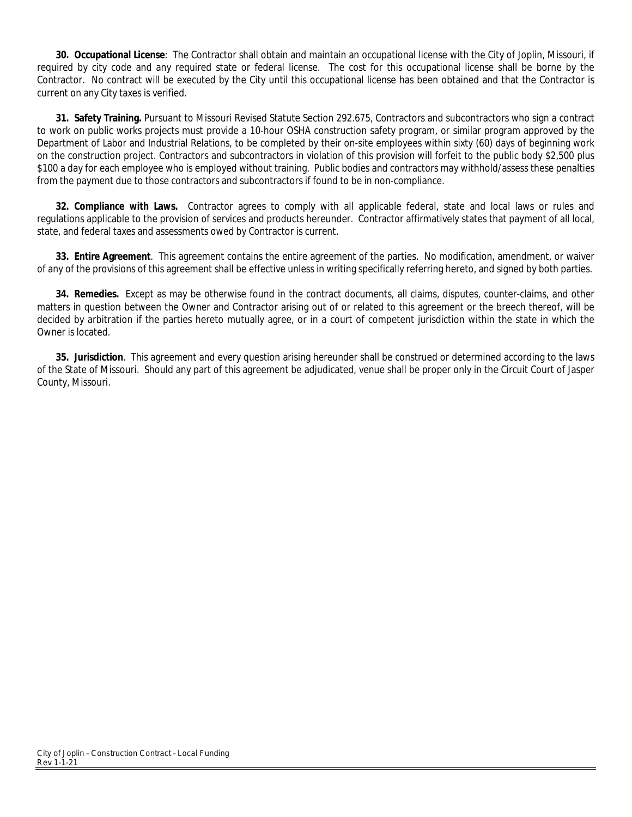**30. Occupational License**: The Contractor shall obtain and maintain an occupational license with the City of Joplin, Missouri, if required by city code and any required state or federal license. The cost for this occupational license shall be borne by the Contractor. No contract will be executed by the City until this occupational license has been obtained and that the Contractor is current on any City taxes is verified.

**31. Safety Training.** Pursuant to Missouri Revised Statute Section 292.675, Contractors and subcontractors who sign a contract to work on public works projects must provide a 10-hour OSHA construction safety program, or similar program approved by the Department of Labor and Industrial Relations, to be completed by their on-site employees within sixty (60) days of beginning work on the construction project. Contractors and subcontractors in violation of this provision will forfeit to the public body \$2,500 plus \$100 a day for each employee who is employed without training. Public bodies and contractors may withhold/assess these penalties from the payment due to those contractors and subcontractors if found to be in non-compliance.

**32. Compliance with Laws.** Contractor agrees to comply with all applicable federal, state and local laws or rules and regulations applicable to the provision of services and products hereunder. Contractor affirmatively states that payment of all local, state, and federal taxes and assessments owed by Contractor is current.

**33. Entire Agreement**. This agreement contains the entire agreement of the parties. No modification, amendment, or waiver of any of the provisions of this agreement shall be effective unless in writing specifically referring hereto, and signed by both parties.

**34. Remedies.** Except as may be otherwise found in the contract documents, all claims, disputes, counter-claims, and other matters in question between the Owner and Contractor arising out of or related to this agreement or the breech thereof, will be decided by arbitration if the parties hereto mutually agree, or in a court of competent jurisdiction within the state in which the Owner is located.

**35. Jurisdiction**. This agreement and every question arising hereunder shall be construed or determined according to the laws of the State of Missouri. Should any part of this agreement be adjudicated, venue shall be proper only in the Circuit Court of Jasper County, Missouri.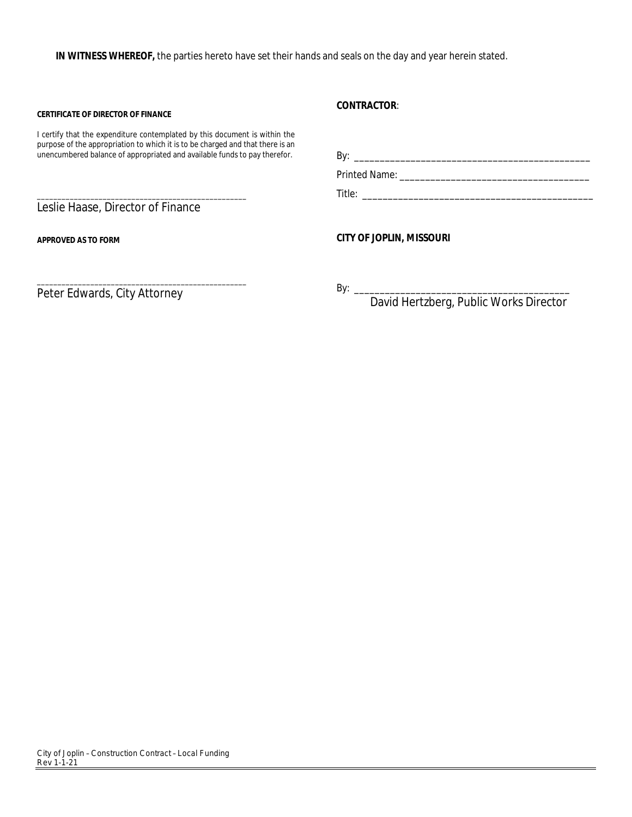**IN WITNESS WHEREOF,** the parties hereto have set their hands and seals on the day and year herein stated.

#### **CERTIFICATE OF DIRECTOR OF FINANCE**

I certify that the expenditure contemplated by this document is within the purpose of the appropriation to which it is to be charged and that there is an unencumbered balance of appropriated and available funds to pay therefor.

Leslie Haase, Director of Finance

\_\_\_\_\_\_\_\_\_\_\_\_\_\_\_\_\_\_\_\_\_\_\_\_\_\_\_\_\_\_\_\_\_\_\_\_\_\_\_\_\_\_\_\_\_\_\_\_\_\_\_

**APPROVED AS TO FORM**

**CONTRACTOR**:

By: \_\_\_\_\_\_\_\_\_\_\_\_\_\_\_\_\_\_\_\_\_\_\_\_\_\_\_\_\_\_\_\_\_\_\_\_\_\_\_\_\_\_\_\_\_\_ Printed Name: \_\_\_\_\_\_\_\_\_\_\_\_\_\_\_\_\_\_\_\_\_\_\_\_\_\_\_\_\_\_\_\_\_\_\_\_\_

Title: \_\_\_\_\_\_\_\_\_\_\_\_\_\_\_\_\_\_\_\_\_\_\_\_\_\_\_\_\_\_\_\_\_\_\_\_\_\_\_\_\_\_\_\_\_

**CITY OF JOPLIN, MISSOURI**

\_\_\_\_\_\_\_\_\_\_\_\_\_\_\_\_\_\_\_\_\_\_\_\_\_\_\_\_\_\_\_\_\_\_\_\_\_\_\_\_\_\_\_\_\_\_\_\_\_\_\_ Peter Edwards, City Attorney

 $By: \_\_$ 

David Hertzberg, Public Works Director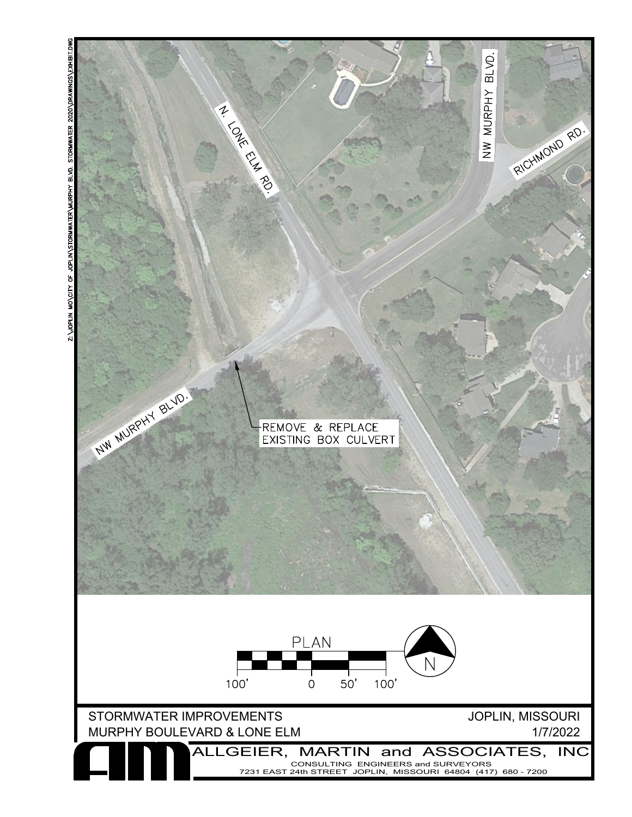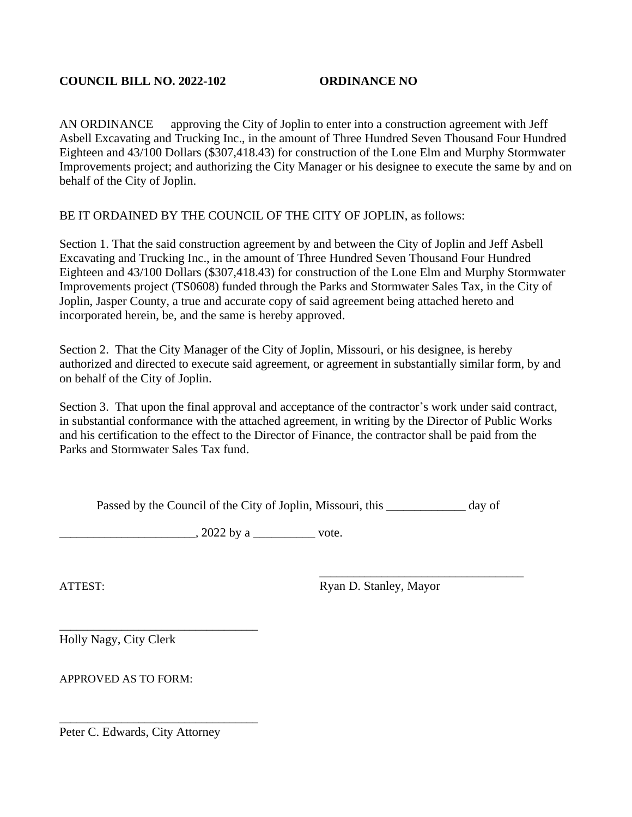### **COUNCIL BILL NO. 2022-102 ORDINANCE NO**

AN ORDINANCE approving the City of Joplin to enter into a construction agreement with Jeff Asbell Excavating and Trucking Inc., in the amount of Three Hundred Seven Thousand Four Hundred Eighteen and 43/100 Dollars (\$307,418.43) for construction of the Lone Elm and Murphy Stormwater Improvements project; and authorizing the City Manager or his designee to execute the same by and on behalf of the City of Joplin.

# BE IT ORDAINED BY THE COUNCIL OF THE CITY OF JOPLIN, as follows:

Section 1. That the said construction agreement by and between the City of Joplin and Jeff Asbell Excavating and Trucking Inc., in the amount of Three Hundred Seven Thousand Four Hundred Eighteen and 43/100 Dollars (\$307,418.43) for construction of the Lone Elm and Murphy Stormwater Improvements project (TS0608) funded through the Parks and Stormwater Sales Tax, in the City of Joplin, Jasper County, a true and accurate copy of said agreement being attached hereto and incorporated herein, be, and the same is hereby approved.

Section 2. That the City Manager of the City of Joplin, Missouri, or his designee, is hereby authorized and directed to execute said agreement, or agreement in substantially similar form, by and on behalf of the City of Joplin.

Section 3. That upon the final approval and acceptance of the contractor's work under said contract, in substantial conformance with the attached agreement, in writing by the Director of Public Works and his certification to the effect to the Director of Finance, the contractor shall be paid from the Parks and Stormwater Sales Tax fund.

Passed by the Council of the City of Joplin, Missouri, this day of

 $\frac{1}{2022 \text{ by a}}$  vote.

ATTEST: Ryan D. Stanley, Mayor

\_\_\_\_\_\_\_\_\_\_\_\_\_\_\_\_\_\_\_\_\_\_\_\_\_\_\_\_\_\_\_\_\_\_\_\_

\_\_\_\_\_\_\_\_\_\_\_\_\_\_\_\_\_\_\_\_\_\_\_\_\_\_\_\_\_\_\_\_\_\_\_ Holly Nagy, City Clerk

APPROVED AS TO FORM:

Peter C. Edwards, City Attorney

\_\_\_\_\_\_\_\_\_\_\_\_\_\_\_\_\_\_\_\_\_\_\_\_\_\_\_\_\_\_\_\_\_\_\_